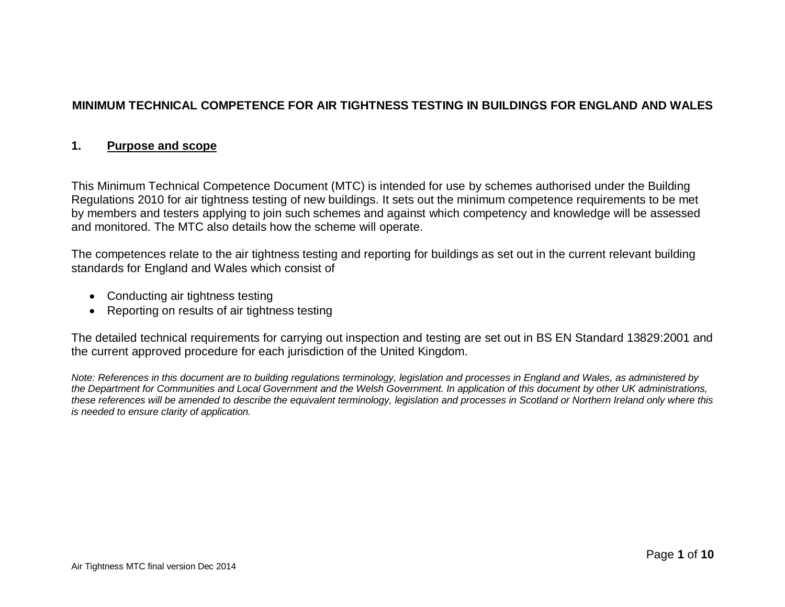# **MINIMUM TECHNICAL COMPETENCE FOR AIR TIGHTNESS TESTING IN BUILDINGS FOR ENGLAND AND WALES**

#### **1. Purpose and scope**

This Minimum Technical Competence Document (MTC) is intended for use by schemes authorised under the Building Regulations 2010 for air tightness testing of new buildings. It sets out the minimum competence requirements to be met by members and testers applying to join such schemes and against which competency and knowledge will be assessed and monitored. The MTC also details how the scheme will operate.

The competences relate to the air tightness testing and reporting for buildings as set out in the current relevant building standards for England and Wales which consist of

- Conducting air tightness testing
- Reporting on results of air tightness testing

The detailed technical requirements for carrying out inspection and testing are set out in BS EN Standard 13829:2001 and the current approved procedure for each jurisdiction of the United Kingdom.

*Note: References in this document are to building regulations terminology, legislation and processes in England and Wales, as administered by the Department for Communities and Local Government and the Welsh Government. In application of this document by other UK administrations, these references will be amended to describe the equivalent terminology, legislation and processes in Scotland or Northern Ireland only where this is needed to ensure clarity of application.*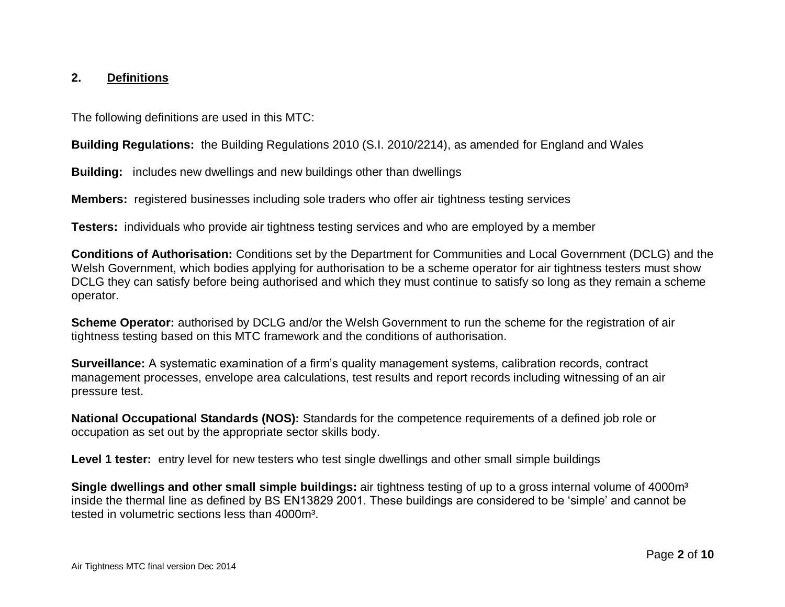#### **2. Definitions**

The following definitions are used in this MTC:

**Building Regulations:** the Building Regulations 2010 (S.I. 2010/2214), as amended for England and Wales

**Building:** includes new dwellings and new buildings other than dwellings

**Members:** registered businesses including sole traders who offer air tightness testing services

**Testers:** individuals who provide air tightness testing services and who are employed by a member

**Conditions of Authorisation:** Conditions set by the Department for Communities and Local Government (DCLG) and the Welsh Government, which bodies applying for authorisation to be a scheme operator for air tightness testers must show DCLG they can satisfy before being authorised and which they must continue to satisfy so long as they remain a scheme operator.

**Scheme Operator:** authorised by DCLG and/or the Welsh Government to run the scheme for the registration of air tightness testing based on this MTC framework and the conditions of authorisation.

**Surveillance:** A systematic examination of a firm's quality management systems, calibration records, contract management processes, envelope area calculations, test results and report records including witnessing of an air pressure test.

**National Occupational Standards (NOS):** Standards for the competence requirements of a defined job role or occupation as set out by the appropriate sector skills body.

**Level 1 tester:** entry level for new testers who test single dwellings and other small simple buildings

**Single dwellings and other small simple buildings:** air tightness testing of up to a gross internal volume of 4000m<sup>3</sup> inside the thermal line as defined by BS EN13829 2001. These buildings are considered to be 'simple' and cannot be tested in volumetric sections less than 4000m<sup>3</sup>.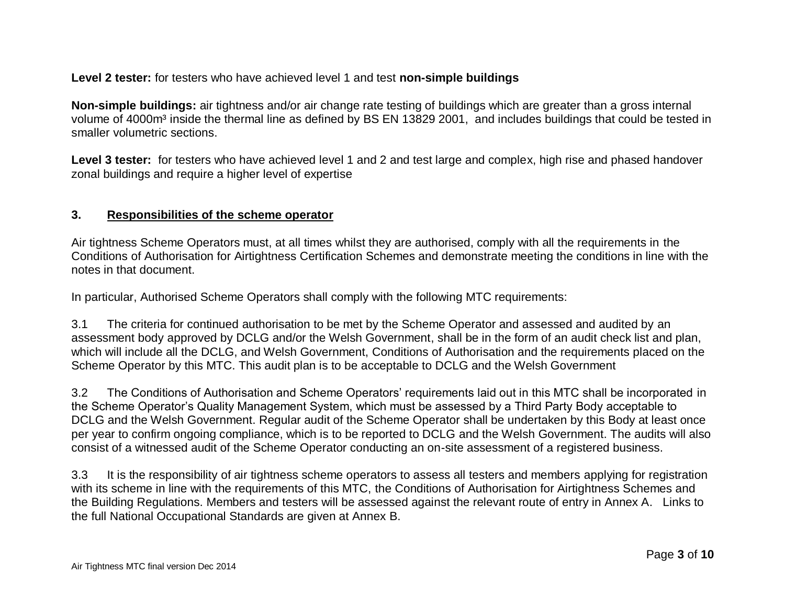**Level 2 tester:** for testers who have achieved level 1 and test **non-simple buildings**

**Non-simple buildings:** air tightness and/or air change rate testing of buildings which are greater than a gross internal volume of 4000m<sup>3</sup> inside the thermal line as defined by BS EN 13829 2001, and includes buildings that could be tested in smaller volumetric sections.

Level 3 tester: for testers who have achieved level 1 and 2 and test large and complex, high rise and phased handover zonal buildings and require a higher level of expertise

### **3. Responsibilities of the scheme operator**

Air tightness Scheme Operators must, at all times whilst they are authorised, comply with all the requirements in the Conditions of Authorisation for Airtightness Certification Schemes and demonstrate meeting the conditions in line with the notes in that document.

In particular, Authorised Scheme Operators shall comply with the following MTC requirements:

3.1 The criteria for continued authorisation to be met by the Scheme Operator and assessed and audited by an assessment body approved by DCLG and/or the Welsh Government, shall be in the form of an audit check list and plan, which will include all the DCLG, and Welsh Government, Conditions of Authorisation and the requirements placed on the Scheme Operator by this MTC. This audit plan is to be acceptable to DCLG and the Welsh Government

3.2 The Conditions of Authorisation and Scheme Operators' requirements laid out in this MTC shall be incorporated in the Scheme Operator's Quality Management System, which must be assessed by a Third Party Body acceptable to DCLG and the Welsh Government. Regular audit of the Scheme Operator shall be undertaken by this Body at least once per year to confirm ongoing compliance, which is to be reported to DCLG and the Welsh Government. The audits will also consist of a witnessed audit of the Scheme Operator conducting an on-site assessment of a registered business.

3.3 It is the responsibility of air tightness scheme operators to assess all testers and members applying for registration with its scheme in line with the requirements of this MTC, the Conditions of Authorisation for Airtightness Schemes and the Building Regulations. Members and testers will be assessed against the relevant route of entry in Annex A. Links to the full National Occupational Standards are given at Annex B.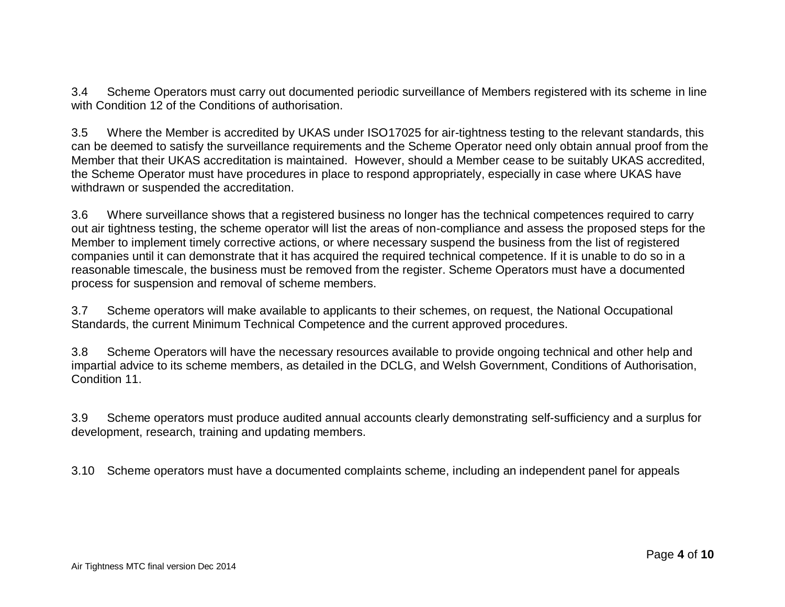3.4 Scheme Operators must carry out documented periodic surveillance of Members registered with its scheme in line with Condition 12 of the Conditions of authorisation.

3.5 Where the Member is accredited by UKAS under ISO17025 for air-tightness testing to the relevant standards, this can be deemed to satisfy the surveillance requirements and the Scheme Operator need only obtain annual proof from the Member that their UKAS accreditation is maintained. However, should a Member cease to be suitably UKAS accredited, the Scheme Operator must have procedures in place to respond appropriately, especially in case where UKAS have withdrawn or suspended the accreditation.

3.6 Where surveillance shows that a registered business no longer has the technical competences required to carry out air tightness testing, the scheme operator will list the areas of non-compliance and assess the proposed steps for the Member to implement timely corrective actions, or where necessary suspend the business from the list of registered companies until it can demonstrate that it has acquired the required technical competence. If it is unable to do so in a reasonable timescale, the business must be removed from the register. Scheme Operators must have a documented process for suspension and removal of scheme members.

3.7 Scheme operators will make available to applicants to their schemes, on request, the National Occupational Standards, the current Minimum Technical Competence and the current approved procedures.

3.8 Scheme Operators will have the necessary resources available to provide ongoing technical and other help and impartial advice to its scheme members, as detailed in the DCLG, and Welsh Government, Conditions of Authorisation, Condition 11.

3.9 Scheme operators must produce audited annual accounts clearly demonstrating self-sufficiency and a surplus for development, research, training and updating members.

3.10 Scheme operators must have a documented complaints scheme, including an independent panel for appeals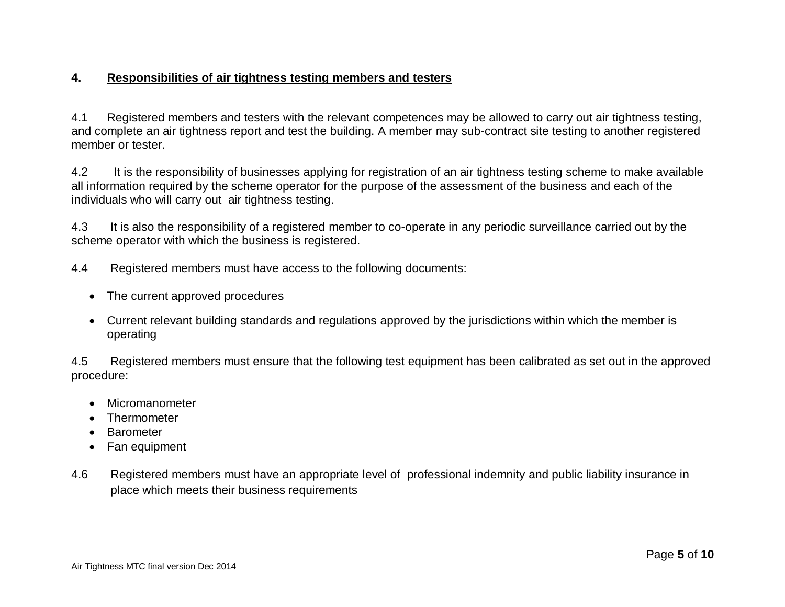## **4. Responsibilities of air tightness testing members and testers**

4.1 Registered members and testers with the relevant competences may be allowed to carry out air tightness testing, and complete an air tightness report and test the building. A member may sub-contract site testing to another registered member or tester.

4.2 It is the responsibility of businesses applying for registration of an air tightness testing scheme to make available all information required by the scheme operator for the purpose of the assessment of the business and each of the individuals who will carry out air tightness testing.

4.3 It is also the responsibility of a registered member to co-operate in any periodic surveillance carried out by the scheme operator with which the business is registered.

4.4 Registered members must have access to the following documents:

- The current approved procedures
- Current relevant building standards and regulations approved by the jurisdictions within which the member is operating

4.5 Registered members must ensure that the following test equipment has been calibrated as set out in the approved procedure:

- Micromanometer
- Thermometer
- Barometer
- Fan equipment
- 4.6 Registered members must have an appropriate level of professional indemnity and public liability insurance in place which meets their business requirements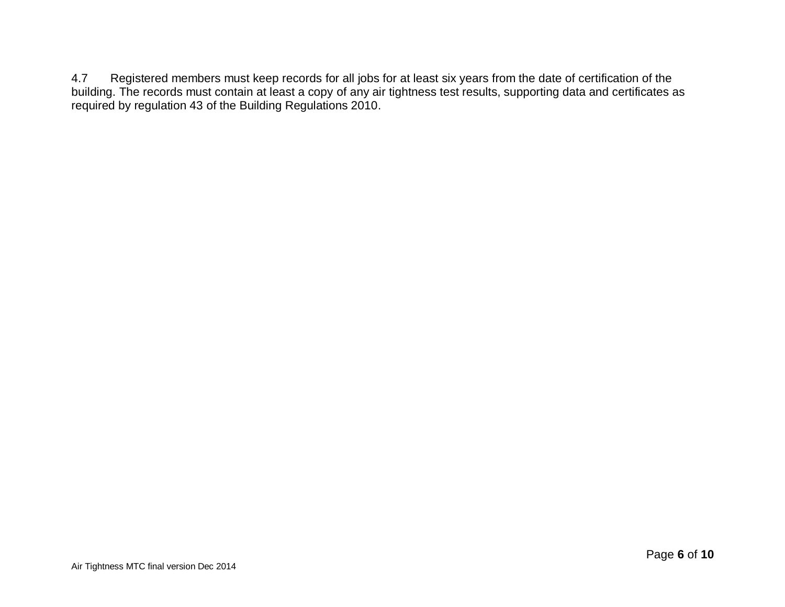4.7 Registered members must keep records for all jobs for at least six years from the date of certification of the building. The records must contain at least a copy of any air tightness test results, supporting data and certificates as required by regulation 43 of the Building Regulations 2010.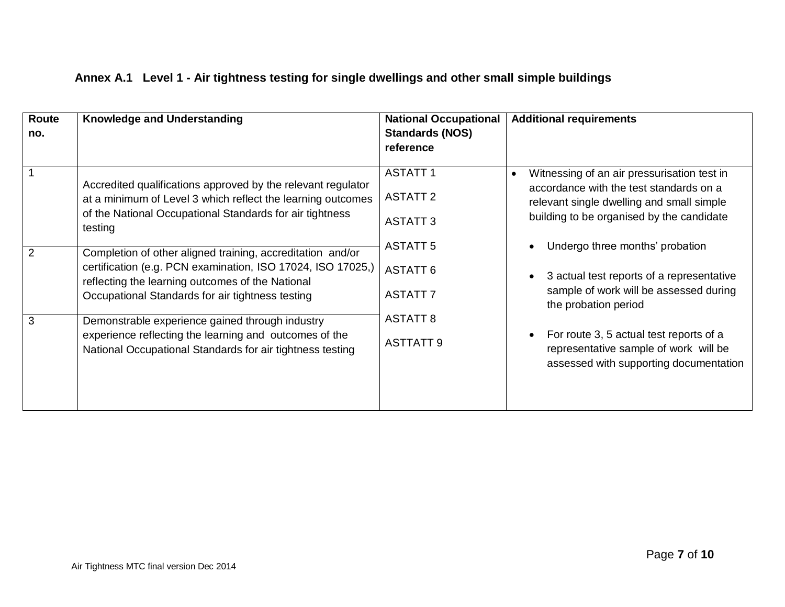| Route<br>no.   | <b>Knowledge and Understanding</b>                                                                                                                                                                                                | <b>National Occupational</b><br><b>Standards (NOS)</b><br>reference | <b>Additional requirements</b>                                                                                                                                                                |  |
|----------------|-----------------------------------------------------------------------------------------------------------------------------------------------------------------------------------------------------------------------------------|---------------------------------------------------------------------|-----------------------------------------------------------------------------------------------------------------------------------------------------------------------------------------------|--|
|                | Accredited qualifications approved by the relevant regulator<br>at a minimum of Level 3 which reflect the learning outcomes<br>of the National Occupational Standards for air tightness<br>testing                                | <b>ASTATT1</b><br><b>ASTATT 2</b><br><b>ASTATT 3</b>                | Witnessing of an air pressurisation test in<br>$\bullet$<br>accordance with the test standards on a<br>relevant single dwelling and small simple<br>building to be organised by the candidate |  |
| $\overline{2}$ | Completion of other aligned training, accreditation and/or<br>certification (e.g. PCN examination, ISO 17024, ISO 17025,)<br>reflecting the learning outcomes of the National<br>Occupational Standards for air tightness testing | <b>ASTATT 5</b><br><b>ASTATT 6</b><br><b>ASTATT 7</b>               | Undergo three months' probation<br>3 actual test reports of a representative<br>sample of work will be assessed during<br>the probation period                                                |  |
| 3              | Demonstrable experience gained through industry<br>experience reflecting the learning and outcomes of the<br>National Occupational Standards for air tightness testing                                                            | <b>ASTATT 8</b><br><b>ASTTATT 9</b>                                 | For route 3, 5 actual test reports of a<br>representative sample of work will be<br>assessed with supporting documentation                                                                    |  |

# **Annex A.1 Level 1 - Air tightness testing for single dwellings and other small simple buildings**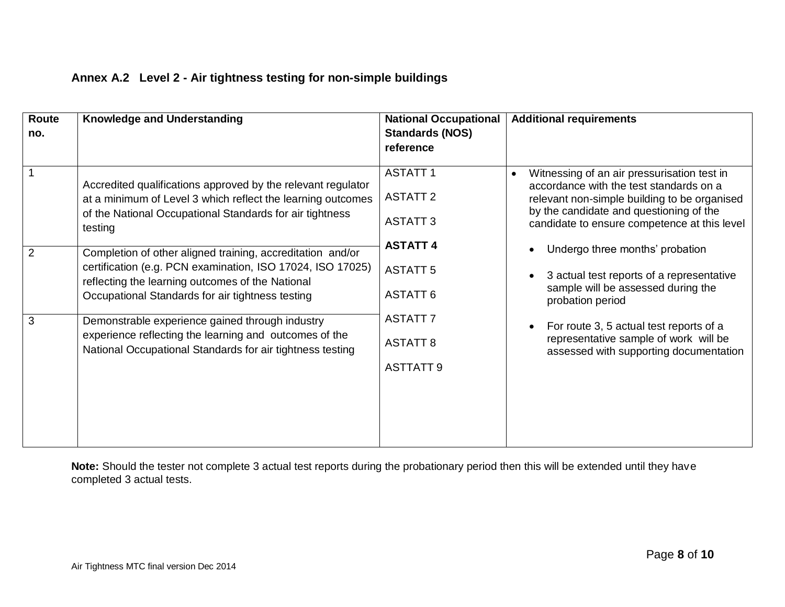| Route<br>no.        | <b>Knowledge and Understanding</b>                                                                                                                                                                                                                                                                                                                                                                                                                                                                                                                                                                               | <b>National Occupational</b><br><b>Standards (NOS)</b><br>reference                                                                                                     | <b>Additional requirements</b>                                                                                                                                                                                                                                                                                                                                                                                                                                                                                         |
|---------------------|------------------------------------------------------------------------------------------------------------------------------------------------------------------------------------------------------------------------------------------------------------------------------------------------------------------------------------------------------------------------------------------------------------------------------------------------------------------------------------------------------------------------------------------------------------------------------------------------------------------|-------------------------------------------------------------------------------------------------------------------------------------------------------------------------|------------------------------------------------------------------------------------------------------------------------------------------------------------------------------------------------------------------------------------------------------------------------------------------------------------------------------------------------------------------------------------------------------------------------------------------------------------------------------------------------------------------------|
| $\overline{2}$<br>3 | Accredited qualifications approved by the relevant regulator<br>at a minimum of Level 3 which reflect the learning outcomes<br>of the National Occupational Standards for air tightness<br>testing<br>Completion of other aligned training, accreditation and/or<br>certification (e.g. PCN examination, ISO 17024, ISO 17025)<br>reflecting the learning outcomes of the National<br>Occupational Standards for air tightness testing<br>Demonstrable experience gained through industry<br>experience reflecting the learning and outcomes of the<br>National Occupational Standards for air tightness testing | <b>ASTATT1</b><br><b>ASTATT 2</b><br><b>ASTATT 3</b><br><b>ASTATT 4</b><br><b>ASTATT 5</b><br><b>ASTATT 6</b><br><b>ASTATT 7</b><br><b>ASTATT 8</b><br><b>ASTTATT 9</b> | Witnessing of an air pressurisation test in<br>$\bullet$<br>accordance with the test standards on a<br>relevant non-simple building to be organised<br>by the candidate and questioning of the<br>candidate to ensure competence at this level<br>Undergo three months' probation<br>3 actual test reports of a representative<br>sample will be assessed during the<br>probation period<br>For route 3, 5 actual test reports of a<br>representative sample of work will be<br>assessed with supporting documentation |

# **Annex A.2 Level 2 - Air tightness testing for non-simple buildings**

**Note:** Should the tester not complete 3 actual test reports during the probationary period then this will be extended until they have completed 3 actual tests.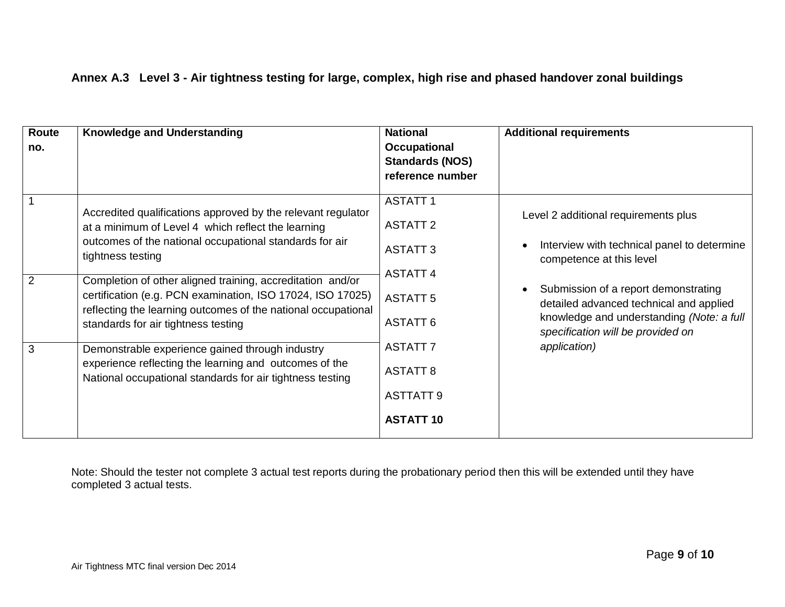|  |  |  |  |  |  | Annex A.3 Level 3 - Air tightness testing for large, complex, high rise and phased handover zonal buildings |
|--|--|--|--|--|--|-------------------------------------------------------------------------------------------------------------|
|--|--|--|--|--|--|-------------------------------------------------------------------------------------------------------------|

| Route<br>no. | <b>Knowledge and Understanding</b>                                                                                                                                                                                                                                                                                                                                                                                                                                                                                                                                                                               | <b>National</b><br>Occupational<br><b>Standards (NOS)</b><br>reference number                                                                                                               | <b>Additional requirements</b>                                                                                                                                                                                                                                                                                    |
|--------------|------------------------------------------------------------------------------------------------------------------------------------------------------------------------------------------------------------------------------------------------------------------------------------------------------------------------------------------------------------------------------------------------------------------------------------------------------------------------------------------------------------------------------------------------------------------------------------------------------------------|---------------------------------------------------------------------------------------------------------------------------------------------------------------------------------------------|-------------------------------------------------------------------------------------------------------------------------------------------------------------------------------------------------------------------------------------------------------------------------------------------------------------------|
| 2<br>3       | Accredited qualifications approved by the relevant regulator<br>at a minimum of Level 4 which reflect the learning<br>outcomes of the national occupational standards for air<br>tightness testing<br>Completion of other aligned training, accreditation and/or<br>certification (e.g. PCN examination, ISO 17024, ISO 17025)<br>reflecting the learning outcomes of the national occupational<br>standards for air tightness testing<br>Demonstrable experience gained through industry<br>experience reflecting the learning and outcomes of the<br>National occupational standards for air tightness testing | <b>ASTATT1</b><br><b>ASTATT 2</b><br><b>ASTATT 3</b><br><b>ASTATT 4</b><br><b>ASTATT 5</b><br><b>ASTATT 6</b><br><b>ASTATT 7</b><br><b>ASTATT 8</b><br><b>ASTTATT 9</b><br><b>ASTATT 10</b> | Level 2 additional requirements plus<br>Interview with technical panel to determine<br>competence at this level<br>Submission of a report demonstrating<br>$\bullet$<br>detailed advanced technical and applied<br>knowledge and understanding (Note: a full<br>specification will be provided on<br>application) |

Note: Should the tester not complete 3 actual test reports during the probationary period then this will be extended until they have completed 3 actual tests.